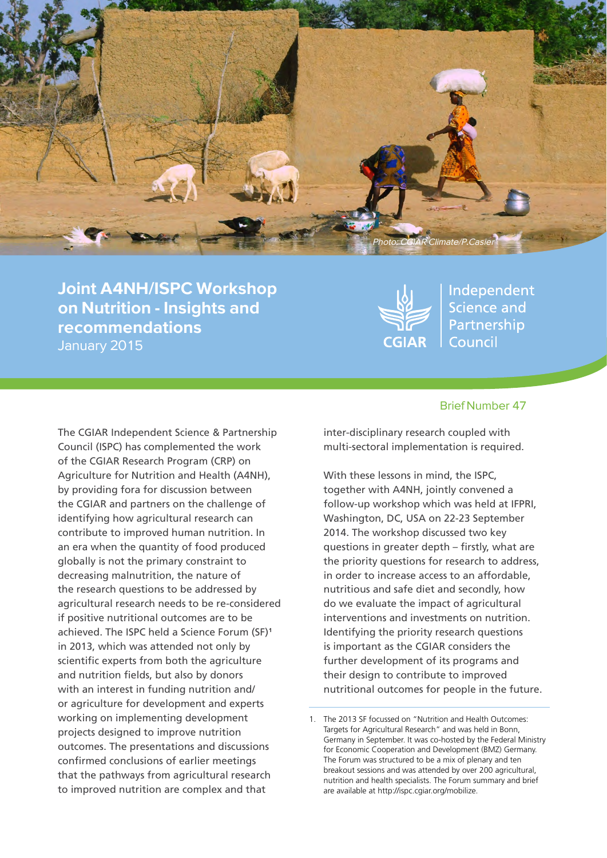

Joint A4NH/ISPC Workshop on Nutrition - Insights and recommendations January 2015



Independent **Science and** Partnership Council

The CGIAR Independent Science & Partnership Council (ISPC) has complemented the work of the CGIAR Research Program (CRP) on Agriculture for Nutrition and Health (A4NH), by providing fora for discussion between the CGIAR and partners on the challenge of identifying how agricultural research can contribute to improved human nutrition. In an era when the quantity of food produced globally is not the primary constraint to decreasing malnutrition, the nature of the research questions to be addressed by agricultural research needs to be re-considered if positive nutritional outcomes are to be achieved. The ISPC held a Science Forum (SF)<sup>1</sup> in 2013, which was attended not only by scientific experts from both the agriculture and nutrition fields, but also by donors with an interest in funding nutrition and/ or agriculture for development and experts working on implementing development projects designed to improve nutrition outcomes. The presentations and discussions confirmed conclusions of earlier meetings that the pathways from agricultural research to improved nutrition are complex and that

#### Brief Number 47

inter-disciplinary research coupled with multi-sectoral implementation is required.

With these lessons in mind, the ISPC, together with A4NH, jointly convened a follow-up workshop which was held at IFPRI, Washington, DC, USA on 22-23 September 2014. The workshop discussed two key questions in greater depth – firstly, what are the priority questions for research to address, in order to increase access to an affordable, nutritious and safe diet and secondly, how do we evaluate the impact of agricultural interventions and investments on nutrition. Identifying the priority research questions is important as the CGIAR considers the further development of its programs and their design to contribute to improved nutritional outcomes for people in the future.

<sup>1.</sup> The 2013 SF focussed on "Nutrition and Health Outcomes: Targets for Agricultural Research" and was held in Bonn, Germany in September. It was co-hosted by the Federal Ministry for Economic Cooperation and Development (BMZ) Germany. The Forum was structured to be a mix of plenary and ten breakout sessions and was attended by over 200 agricultural, nutrition and health specialists. The Forum summary and brief are available at http://ispc.cgiar.org/mobilize.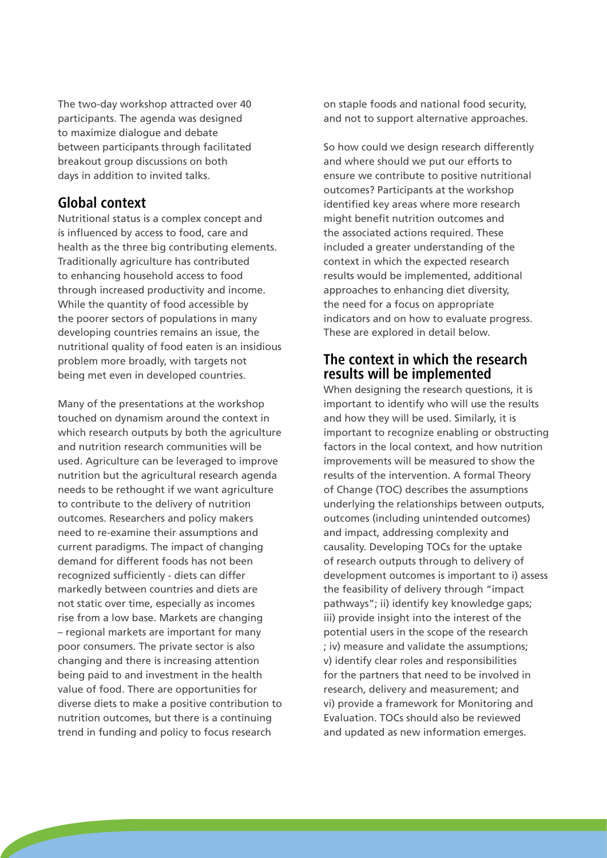The two-day workshop attracted over 40 participants. The agenda was designed to maximize dialogue and debate between participants through facilitated breakout group discussions on both days in addition to invited talks.

## **Global context**

Nutritional status is a complex concept and is influenced by access to food, care and health as the three big contributing elements. Traditionally agriculture has contributed to enhancing household access to food through increased productivity and income. While the quantity of food accessible by the poorer sectors of populations in many developing countries remains an issue, the nutritional quality of food eaten is an insidious problem more broadly, with targets not being met even in developed countries.

Many of the presentations at the workshop touched on dynamism around the context in which research outputs by both the agriculture and nutrition research communities will be used. Agriculture can be leveraged to improve nutrition but the agricultural research agenda needs to be rethought if we want agriculture to contribute to the delivery of nutrition outcomes. Researchers and policy makers need to re-examine their assumptions and current paradigms. The impact of changing demand for different foods has not been recognized sufficiently - diets can differ markedly between countries and diets are not static over time, especially as incomes rise from a low base. Markets are changing – regional markets are important for many poor consumers. The private sector is also changing and there is increasing attention being paid to and investment in the health value of food. There are opportunities for diverse diets to make a positive contribution to nutrition outcomes, but there is a continuing trend in funding and policy to focus research

on staple foods and national food security, and not to support alternative approaches.

So how could we design research differently and where should we put our efforts to ensure we contribute to positive nutritional outcomes? Participants at the workshop identified key areas where more research might benefit nutrition outcomes and the associated actions required. These included a greater understanding of the context in which the expected research results would be implemented, additional approaches to enhancing diet diversity, the need for a focus on appropriate indicators and on how to evaluate progress. These are explored in detail below.

## **The context in which the research results will be implemented**

When designing the research questions, it is important to identify who will use the results and how they will be used. Similarly, it is important to recognize enabling or obstructing factors in the local context, and how nutrition improvements will be measured to show the results of the intervention. A formal Theory of Change (TOC) describes the assumptions underlying the relationships between outputs, outcomes (including unintended outcomes) and impact, addressing complexity and causality. Developing TOCs for the uptake of research outputs through to delivery of development outcomes is important to i) assess the feasibility of delivery through "impact pathways"; ii) identify key knowledge gaps; iii) provide insight into the interest of the potential users in the scope of the research ; iv) measure and validate the assumptions; v) identify clear roles and responsibilities for the partners that need to be involved in research, delivery and measurement; and vi) provide a framework for Monitoring and Evaluation. TOCs should also be reviewed and updated as new information emerges.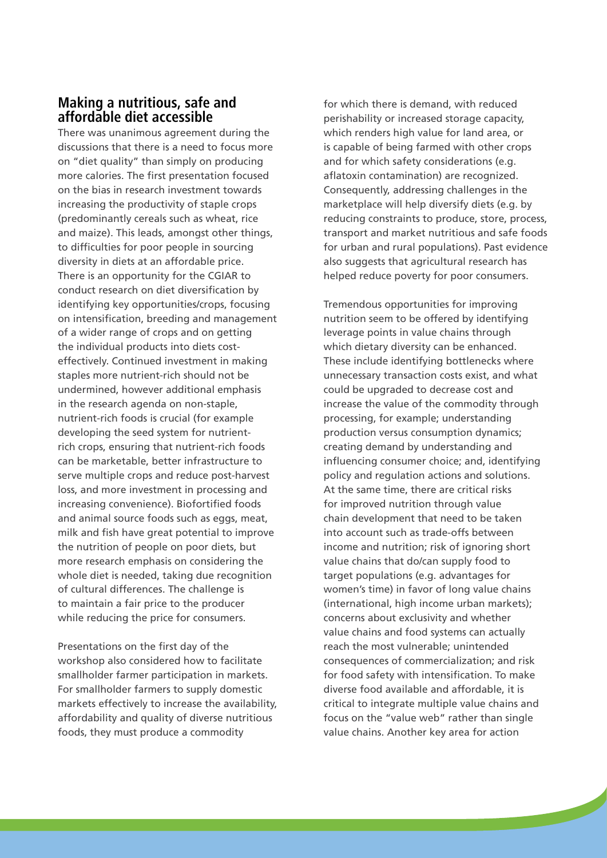# **Making a nutritious, safe and affordable diet accessible**

There was unanimous agreement during the discussions that there is a need to focus more on "diet quality" than simply on producing more calories. The first presentation focused on the bias in research investment towards increasing the productivity of staple crops (predominantly cereals such as wheat, rice and maize). This leads, amongst other things, to difficulties for poor people in sourcing diversity in diets at an affordable price. There is an opportunity for the CGIAR to conduct research on diet diversification by identifying key opportunities/crops, focusing on intensification, breeding and management of a wider range of crops and on getting the individual products into diets costeffectively. Continued investment in making staples more nutrient-rich should not be undermined, however additional emphasis in the research agenda on non-staple, nutrient-rich foods is crucial (for example developing the seed system for nutrientrich crops, ensuring that nutrient-rich foods can be marketable, better infrastructure to serve multiple crops and reduce post-harvest loss, and more investment in processing and increasing convenience). Biofortified foods and animal source foods such as eggs, meat, milk and fish have great potential to improve the nutrition of people on poor diets, but more research emphasis on considering the whole diet is needed, taking due recognition of cultural differences. The challenge is to maintain a fair price to the producer while reducing the price for consumers.

Presentations on the first day of the workshop also considered how to facilitate smallholder farmer participation in markets. For smallholder farmers to supply domestic markets effectively to increase the availability, affordability and quality of diverse nutritious foods, they must produce a commodity

for which there is demand, with reduced perishability or increased storage capacity, which renders high value for land area, or is capable of being farmed with other crops and for which safety considerations (e.g. aflatoxin contamination) are recognized. Consequently, addressing challenges in the marketplace will help diversify diets (e.g. by reducing constraints to produce, store, process, transport and market nutritious and safe foods for urban and rural populations). Past evidence also suggests that agricultural research has helped reduce poverty for poor consumers.

Tremendous opportunities for improving nutrition seem to be offered by identifying leverage points in value chains through which dietary diversity can be enhanced. These include identifying bottlenecks where unnecessary transaction costs exist, and what could be upgraded to decrease cost and increase the value of the commodity through processing, for example; understanding production versus consumption dynamics; creating demand by understanding and influencing consumer choice; and, identifying policy and regulation actions and solutions. At the same time, there are critical risks for improved nutrition through value chain development that need to be taken into account such as trade-offs between income and nutrition; risk of ignoring short value chains that do/can supply food to target populations (e.g. advantages for women's time) in favor of long value chains (international, high income urban markets); concerns about exclusivity and whether value chains and food systems can actually reach the most vulnerable; unintended consequences of commercialization; and risk for food safety with intensification. To make diverse food available and affordable, it is critical to integrate multiple value chains and focus on the "value web" rather than single value chains. Another key area for action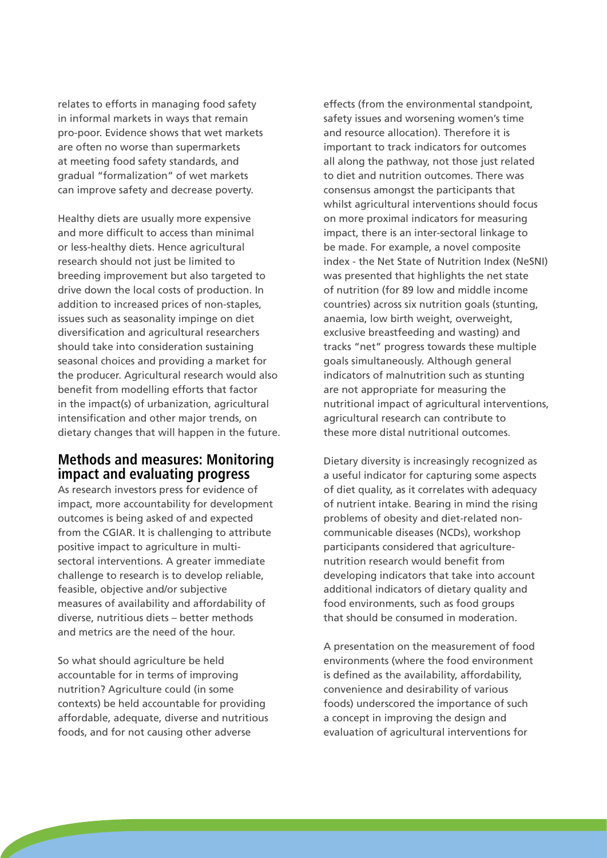relates to efforts in managing food safety in informal markets in ways that remain pro-poor. Evidence shows that wet markets are often no worse than supermarkets at meeting food safety standards, and gradual "formalization" of wet markets can improve safety and decrease poverty.

Healthy diets are usually more expensive and more difficult to access than minimal or less-healthy diets. Hence agricultural research should not just be limited to breeding improvement but also targeted to drive down the local costs of production. In addition to increased prices of non-staples, issues such as seasonality impinge on diet diversification and agricultural researchers should take into consideration sustaining seasonal choices and providing a market for the producer. Agricultural research would also benefit from modelling efforts that factor in the impact(s) of urbanization, agricultural intensification and other major trends, on dietary changes that will happen in the future.

## **Methods and measures: Monitoring impact and evaluating progress**

As research investors press for evidence of impact, more accountability for development outcomes is being asked of and expected from the CGIAR. It is challenging to attribute positive impact to agriculture in multisectoral interventions. A greater immediate challenge to research is to develop reliable, feasible, objective and/or subjective measures of availability and affordability of diverse, nutritious diets – better methods and metrics are the need of the hour.

So what should agriculture be held accountable for in terms of improving nutrition? Agriculture could (in some contexts) be held accountable for providing affordable, adequate, diverse and nutritious foods, and for not causing other adverse

effects (from the environmental standpoint, safety issues and worsening women's time and resource allocation). Therefore it is important to track indicators for outcomes all along the pathway, not those just related to diet and nutrition outcomes. There was consensus amongst the participants that whilst agricultural interventions should focus on more proximal indicators for measuring impact, there is an inter-sectoral linkage to be made. For example, a novel composite index - the Net State of Nutrition Index (NeSNI) was presented that highlights the net state of nutrition (for 89 low and middle income countries) across six nutrition goals (stunting, anaemia, low birth weight, overweight, exclusive breastfeeding and wasting) and tracks "net" progress towards these multiple goals simultaneously. Although general indicators of malnutrition such as stunting are not appropriate for measuring the nutritional impact of agricultural interventions, agricultural research can contribute to these more distal nutritional outcomes.

Dietary diversity is increasingly recognized as a useful indicator for capturing some aspects of diet quality, as it correlates with adequacy of nutrient intake. Bearing in mind the rising problems of obesity and diet-related noncommunicable diseases (NCDs), workshop participants considered that agriculturenutrition research would benefit from developing indicators that take into account additional indicators of dietary quality and food environments, such as food groups that should be consumed in moderation.

A presentation on the measurement of food environments (where the food environment is defined as the availability, affordability, convenience and desirability of various foods) underscored the importance of such a concept in improving the design and evaluation of agricultural interventions for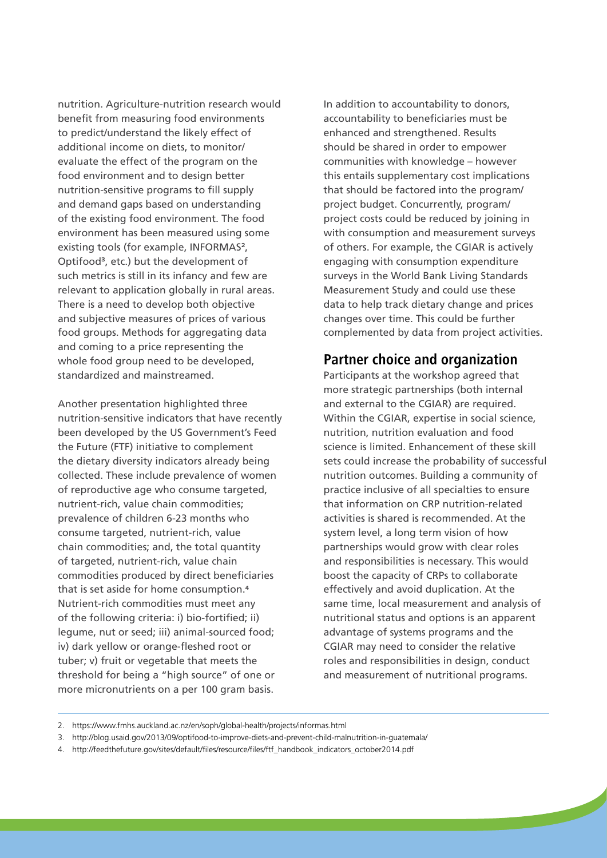nutrition. Agriculture-nutrition research would benefit from measuring food environments to predict/understand the likely effect of additional income on diets, to monitor/ evaluate the effect of the program on the food environment and to design better nutrition-sensitive programs to fill supply and demand gaps based on understanding of the existing food environment. The food environment has been measured using some existing tools (for example, INFORMAS<sup>2</sup>, Optifood<sup>3</sup>, etc.) but the development of such metrics is still in its infancy and few are relevant to application globally in rural areas. There is a need to develop both objective and subjective measures of prices of various food groups. Methods for aggregating data and coming to a price representing the whole food group need to be developed, standardized and mainstreamed.

Another presentation highlighted three nutrition-sensitive indicators that have recently been developed by the US Government's Feed the Future (FTF) initiative to complement the dietary diversity indicators already being collected. These include prevalence of women of reproductive age who consume targeted, nutrient-rich, value chain commodities; prevalence of children 6-23 months who consume targeted, nutrient-rich, value chain commodities; and, the total quantity of targeted, nutrient-rich, value chain commodities produced by direct beneficiaries that is set aside for home consumption.<sup>4</sup> Nutrient-rich commodities must meet any of the following criteria: i) bio-fortified; ii) legume, nut or seed; iii) animal-sourced food; iv) dark yellow or orange-fleshed root or tuber; v) fruit or vegetable that meets the threshold for being a "high source" of one or more micronutrients on a per 100 gram basis.

In addition to accountability to donors, accountability to beneficiaries must be enhanced and strengthened. Results should be shared in order to empower communities with knowledge – however this entails supplementary cost implications that should be factored into the program/ project budget. Concurrently, program/ project costs could be reduced by joining in with consumption and measurement surveys of others. For example, the CGIAR is actively engaging with consumption expenditure surveys in the World Bank Living Standards Measurement Study and could use these data to help track dietary change and prices changes over time. This could be further complemented by data from project activities.

### **Partner choice and organization**

Participants at the workshop agreed that more strategic partnerships (both internal and external to the CGIAR) are required. Within the CGIAR, expertise in social science, nutrition, nutrition evaluation and food science is limited. Enhancement of these skill sets could increase the probability of successful nutrition outcomes. Building a community of practice inclusive of all specialties to ensure that information on CRP nutrition-related activities is shared is recommended. At the system level, a long term vision of how partnerships would grow with clear roles and responsibilities is necessary. This would boost the capacity of CRPs to collaborate effectively and avoid duplication. At the same time, local measurement and analysis of nutritional status and options is an apparent advantage of systems programs and the CGIAR may need to consider the relative roles and responsibilities in design, conduct and measurement of nutritional programs.

- 3. http://blog.usaid.gov/2013/09/optifood-to-improve-diets-and-prevent-child-malnutrition-in-guatemala/
- 4. http://feedthefuture.gov/sites/default/files/resource/files/ftf\_handbook\_indicators\_october2014.pdf

<sup>2.</sup> https://www.fmhs.auckland.ac.nz/en/soph/global-health/projects/informas.html